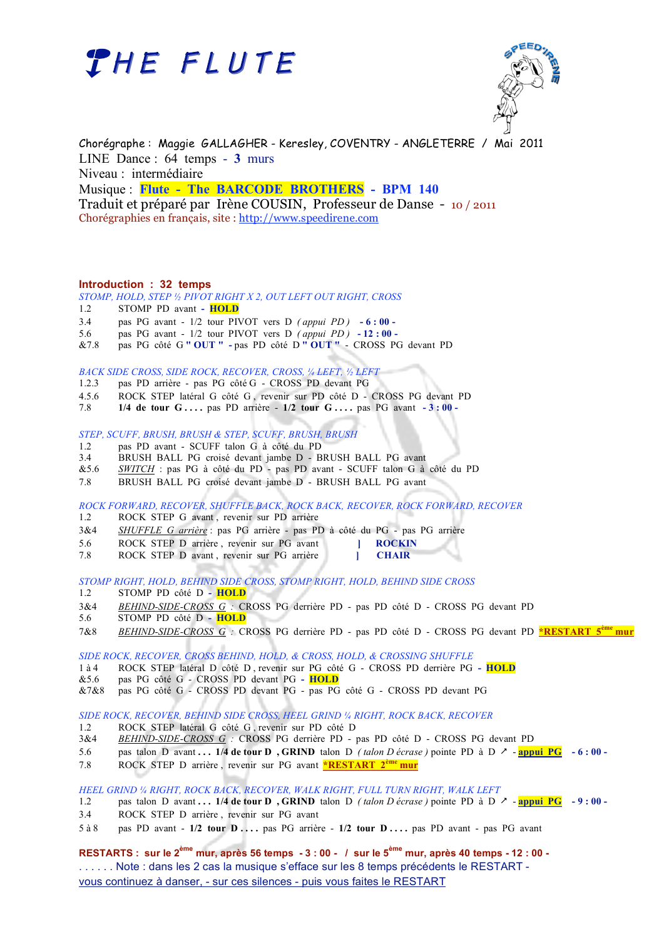



Chorégraphe : Maggie GALLAGHER - Keresley, COVENTRY - ANGLETERRE / Mai 2011 LINE Dance : 64 temps - **3** murs Niveau : intermédiaire Musique : **Flute - The BARCODE BROTHERS - BPM 140**  Traduit et préparé par Irène COUSIN, Professeur de Danse - 10 / 2011 Chorégraphies en français, site : http://www.speedirene.com

### **Introduction : 32 temps**

*STOMP, HOLD, STEP ½ PIVOT RIGHT X 2, OUT LEFT OUT RIGHT, CROSS* 

- 1.2 STOMP PD avant  **HOLD**
- 3.4 pas PG avant 1/2 tour PIVOT vers D *( appui PD )*  **6 : 00 -**
- 5.6 pas PG avant 1/2 tour PIVOT vers D *( appui PD )*  **12 : 00 -**
- &7.8 pas PG côté G **" OUT " -** pas PD côté D **" OUT "**  CROSS PG devant PD

### *BACK SIDE CROSS, SIDE ROCK, RECOVER, CROSS, ¼ LEFT, ½ LEFT*

- 1.2.3 pas PD arrière pas PG côté G CROSS PD devant PG
- 4.5.6 ROCK STEP latéral G côté G , revenir sur PD côté D CROSS PG devant PD
- 7.8 **1/4 de tour G . . . .** pas PD arrière **1/2 tour G . . . .** pas PG avant  **3 : 00 -**

*STEP, SCUFF, BRUSH, BRUSH & STEP, SCUFF, BRUSH, BRUSH*

- 1.2 pas PD avant SCUFF talon G à côté du PD<br>3.4 BRUSH BALL PG croisé devant jambe D B 3.4 BRUSH BALL PG croisé devant jambe D - BRUSH BALL PG avant
- &5.6 *SWITCH* : pas PG à côté du PD pas PD avant SCUFF talon G à côté du PD
- 7.8 BRUSH BALL PG croisé devant jambe D BRUSH BALL PG avant

*ROCK FORWARD, RECOVER, SHUFFLE BACK, ROCK BACK, RECOVER, ROCK FORWARD, RECOVER*

- 1.2 ROCK STEP G avant , revenir sur PD arrière
- 3&4 *SHUFFLE G arrière* : pas PG arrière pas PD à côté du PG pas PG arrière
- 5.6 ROCK STEP D arrière , revenir sur PG avant **] ROCKIN**
- 7.8 ROCK STEP D avant , revenir sur PG arrière **] CHAIR**

*STOMP RIGHT, HOLD, BEHIND SIDE CROSS, STOMP RIGHT, HOLD, BEHIND SIDE CROSS*

- 1.2 STOMP PD côté D  **HOLD**
- 3&4 *BEHIND-SIDE-CROSS G :* CROSS PG derrière PD pas PD côté D CROSS PG devant PD
- 5.6 STOMP PD côté D  **HOLD**
- 7&8 *BEHIND-SIDE-CROSS G :* CROSS PG derrière PD pas PD côté D CROSS PG devant PD **\*RESTART 5ème mur**

*SIDE ROCK, RECOVER, CROSS BEHIND, HOLD, & CROSS, HOLD, & CROSSING SHUFFLE*

- 1 à 4 ROCK STEP latéral D côté D , revenir sur PG côté G CROSS PD derrière PG  **HOLD**
- &5.6 pas PG côté G CROSS PD devant PG  **HOLD**
- &7&8 pas PG côté G CROSS PD devant PG pas PG côté G CROSS PD devant PG

*SIDE ROCK, RECOVER, BEHIND SIDE CROSS, HEEL GRIND ¼ RIGHT, ROCK BACK, RECOVER*

- 1.2 ROCK STEP latéral G côté G , revenir sur PD côté D
- 3&4 *BEHIND-SIDE-CROSS G :* CROSS PG derrière PD pas PD côté D CROSS PG devant PD
- 5.6 pas talon D avant **. . . 1/4 de tour D , GRIND** talon D *( talon D écrase )* pointe PD à D **appui PG 6 : 00 -**
- 7.8 ROCK STEP D arrière , revenir sur PG avant **\*RESTART 2ème mur**

*HEEL GRIND ¼ RIGHT, ROCK BACK, RECOVER, WALK RIGHT, FULL TURN RIGHT, WALK LEFT*

- 1.2 pas talon D avant **. . . 1/4 de tour D , GRIND** talon D *(talon D écrase)* pointe PD à D  $\geq$   **appui PG** 9 **:** 00 -
- 3.4 ROCK STEP D arrière , revenir sur PG avant
- 5 à 8 pas PD avant **1/2 tour D . . . .** pas PG arrière **1/2 tour D . . . .** pas PD avant pas PG avant

**RESTARTS : sur le 2ème mur, après 56 temps - 3 : 00 - / sur le 5ème mur, après 40 temps - 12 : 00 -** . . . . . . Note : dans les 2 cas la musique s'efface sur les 8 temps précédents le RESTART vous continuez à danser, - sur ces silences - puis vous faites le RESTART